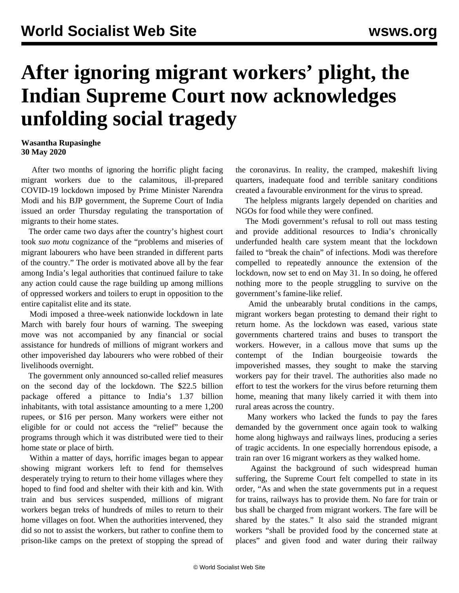## **After ignoring migrant workers' plight, the Indian Supreme Court now acknowledges unfolding social tragedy**

## **Wasantha Rupasinghe 30 May 2020**

 After two months of ignoring the horrific plight facing migrant workers due to the calamitous, ill-prepared COVID-19 lockdown imposed by Prime Minister Narendra Modi and his BJP government, the Supreme Court of India issued an order Thursday regulating the transportation of migrants to their home states.

 The order came two days after the country's highest court took *suo motu* cognizance of the "problems and miseries of migrant labourers who have been stranded in different parts of the country." The order is motivated above all by the fear among India's legal authorities that continued failure to take any action could cause the rage building up among millions of oppressed workers and toilers to erupt in opposition to the entire capitalist elite and its state.

 Modi imposed a three-week nationwide lockdown in late March with barely four hours of warning. The sweeping move was not accompanied by any financial or social assistance for hundreds of millions of migrant workers and other impoverished day labourers who were robbed of their livelihoods overnight.

 The government only announced so-called relief measures on the second day of the lockdown. The \$22.5 billion package offered a pittance to India's 1.37 billion inhabitants, with total assistance amounting to a mere 1,200 rupees, or \$16 per person. Many workers were either not eligible for or could not access the "relief" because the programs through which it was distributed were tied to their home state or place of birth.

 Within a matter of days, horrific images began to appear showing migrant workers left to fend for themselves desperately trying to return to their home villages where they hoped to find food and shelter with their kith and kin. With train and bus services suspended, millions of migrant workers began treks of hundreds of miles to return to their home villages on foot. When the authorities intervened, they did so not to assist the workers, but rather to confine them to prison-like camps on the pretext of stopping the spread of the coronavirus. In reality, the cramped, makeshift living quarters, inadequate food and terrible sanitary conditions created a favourable environment for the virus to spread.

 The helpless migrants largely depended on charities and NGOs for food while they were confined.

 The Modi government's refusal to roll out mass testing and provide additional resources to India's chronically underfunded health care system meant that the lockdown failed to "break the chain" of infections. Modi was therefore compelled to repeatedly announce the extension of the lockdown, now set to end on May 31. In so doing, he offered nothing more to the people struggling to survive on the government's famine-like relief.

 Amid the unbearably brutal conditions in the camps, migrant workers began protesting to demand their right to return home. As the lockdown was eased, various state governments chartered trains and buses to transport the workers. However, in a callous move that sums up the contempt of the Indian bourgeoisie towards the impoverished masses, they sought to make the starving workers pay for their travel. The authorities also made no effort to test the workers for the virus before returning them home, meaning that many likely carried it with them into rural areas across the country.

 Many workers who lacked the funds to pay the fares demanded by the government once again took to walking home along highways and railways lines, producing a series of tragic accidents. In one especially horrendous episode, a train ran over 16 migrant workers as they walked home.

 Against the background of such widespread human suffering, the Supreme Court felt compelled to state in its order, "As and when the state governments put in a request for trains, railways has to provide them. No fare for train or bus shall be charged from migrant workers. The fare will be shared by the states." It also said the stranded migrant workers "shall be provided food by the concerned state at places" and given food and water during their railway